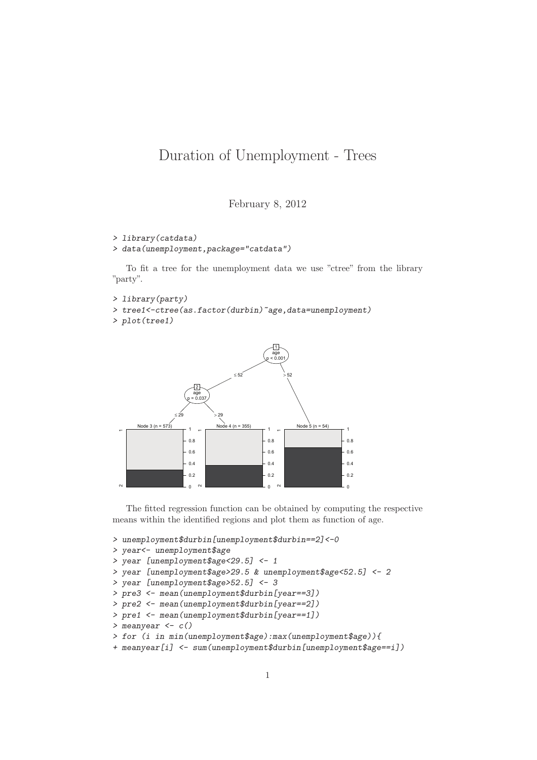## Duration of Unemployment - Trees

February 8, 2012

```
> library(catdata)
```
*> data(unemployment,package="catdata")*

To fit a tree for the unemployment data we use "ctree" from the library "party".

```
> library(party)
```
*> tree1<-ctree(as.factor(durbin)~age,data=unemployment)*

```
> plot(tree1)
```


The fitted regression function can be obtained by computing the respective means within the identified regions and plot them as function of age.

```
> unemployment$durbin[unemployment$durbin==2]<-0
```

```
> year<- unemployment$age
```

```
> year [unemployment$age<29.5] <- 1
```

```
> year [unemployment$age>29.5 & unemployment$age<52.5] <- 2
```

```
> year [unemployment$age>52.5] <- 3
```

```
> pre3 <- mean(unemployment$durbin[year==3])
```

```
> pre2 <- mean(unemployment$durbin[year==2])
```

```
> pre1 <- mean(unemployment$durbin[year==1])
```

```
> meanyear <- c()
```

```
> for (i in min(unemployment$age):max(unemployment$age)){
```

```
+ meanyear[i] <- sum(unemployment$durbin[unemployment$age==i])
```